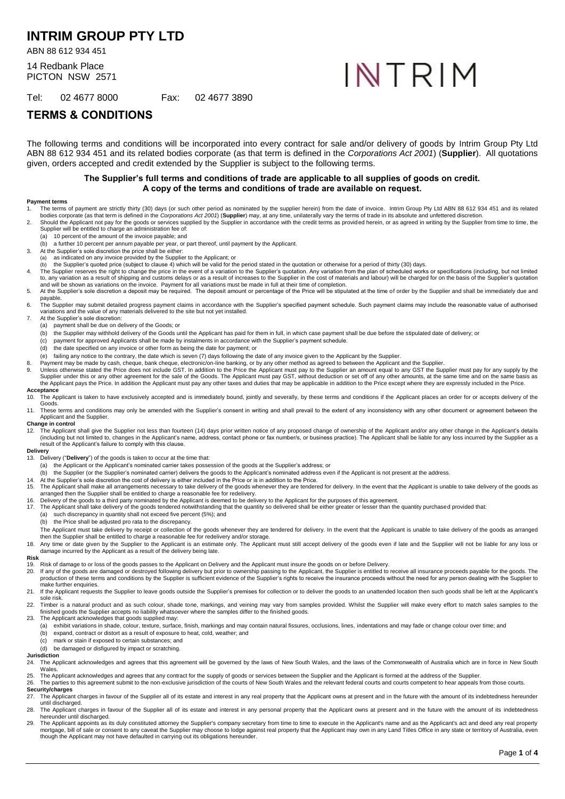# **INTRIM GROUP PTY LTD**

ABN 88 612 934 451

14 Redbank Place PICTON NSW 2571 INTRIM

Tel: 02 4677 8000 Fax: 02 4677 3890

# **TERMS & CONDITIONS**

The following terms and conditions will be incorporated into every contract for sale and/or delivery of goods by Intrim Group Pty Ltd ABN 88 612 934 451 and its related bodies corporate (as that term is defined in the *Corporations Act 2001*) (**Supplier**). All quotations given, orders accepted and credit extended by the Supplier is subject to the following terms.

### **The Supplier's full terms and conditions of trade are applicable to all supplies of goods on credit. A copy of the terms and conditions of trade are available on request.**

### **Payment terms**

- The terms of payment are strictly thirty (30) days (or such other period as nominated by the supplier herein) from the date of invoice. Intrim Group Pty Ltd ABN 88 612 934 451 and its related bodies corporate (as that term is defined in the *Corporations Act 2001*) (**Supplier**) may, at any time, unilaterally vary the terms of trade in its absolute and unfettered discretion.
- 2. Should the Applicant not pay for the goods or services supplied by the Supplier in accordance with the credit terms as provided herein, or as agreed in writing by the Supplier from time to time, the Supplier will be entitled to charge an administration fee of<br>(a) 10 percent of the amount of the invoice payable: and
	- 10 percent of the amount of the invoice payable; and
	- (b) a further 10 percent per annum payable per year, or part thereof, until payment by the Applicant.
- 3. At the Supplier's sole discretion the price shall be either: as indicated on any invoice provided by the Supplier to the Applicant; or
- (b) the Supplier's quoted price (subject to claus[e 4\)](#page-0-0) which will be valid for the period stated in the quotation or otherwise for a period of thirty (30) days.
- <span id="page-0-0"></span>4. The Supplier reserves the right to change the price in the event of a variation to the Supplier's quotation. Any variation from the plan of scheduled works or specifications (including, but not limited
- to, any variation as a result of shipping and customs delays or as a result of increases to the Supplier in the cost of materials and labour) will be charged for on the basis of the Supplier's quotation<br>and will be shown a payable.
- 6. The Supplier may submit detailed progress payment claims in accordance with the Supplier's specified payment schedule. Such payment claims may include the reasonable value of authorised variations and the value of any materials delivered to the site but not yet installed.
- 7. At the Supplier's sole discretion:<br>(a) payment shall be due on de
- payment shall be due on delivery of the Goods; or
	- (b) the Supplier may withhold delivery of the Goods until the Applicant has paid for them in full, in which case payment shall be due before the stipulated date of delivery; or (c) payment for approved Applicants shall be
	- (c) payment for approved Applicants shall be made by instalments in accordance with the Supplier's payment schedule<br>(d) the date specified on any invoice or other form as being the date for payment; or
	- the date specified on any invoice or other form as being the date for payment; or
	- (e) failing any notice to the contrary, the date which is seven (7) days following the date of any invoice given to the Applicant by the Supplier.
- 8. Payment may be made by cash, cheque, bank cheque, electronic/on-line banking, or by any other method as agreed to between the Applicant and the Supplier.
- 9. Unless otherwise stated the Price does not include GST. In addition to the Price the Applicant must pay to the Supplier an amount equal to any GST the Supplier must pay for any supply by the<br>Supplier under this or any o the Applicant pays the Price. In addition the Applicant must pay any other taxes and duties that may be applicable in addition to the Price except where they are expressly included in the Price.

# **Acceptance**<br>10. The Ap

The Applicant is taken to have exclusively accepted and is immediately bound, jointly and severally, by these terms and conditions if the Applicant places an order for or accepts delivery of the Goods.

11. These terms and conditions may only be amended with the Supplier's consent in writing and shall prevail to the extent of any inconsistency with any other document or agreement between the Applicant and the Supplier.

## **Change in control**<br>12 The Applicant

12. The Applicant shall give the Supplier not less than fourteen (14) days prior written notice of any proposed change of ownership of the Applicant and/or any other change in the Applicant's details (including but not limited to, changes in the Applicant's name, address, contact phone or fax number/s, or business practice). The Applicant shall be liable for any loss incurred by the Supplier as a result of the Applicant's failure to comply with this clause.

### **Delivery**

- 13. Delivery ("**Delivery**") of the goods is taken to occur at the time that:
	- (a) the Applicant or the Applicant's nominated carrier takes possession of the goods at the Supplier's address; or
- (b) the Supplier (or the Supplier's nominated carrier) delivers the goods to the Applicant's nominated address even if the Applicant is not present at the address.
- 14. At the Supplier's sole discretion the cost of delivery is either included in the Price or is in addition to the Price.<br>15. The Applicant shall make all arrangements necessary to take delivery of the goods whenever they
- arranged then the Supplier shall be entitled to charge a reasonable fee for redelivery.
- 
- 16. Delivery of the goods to a third party nominated by the Applicant is deemed to be delivery to the Applicant for the purposes of this agreement.<br>17. The Applicant shall take delivery of the goods tendered notwithsta
	- (a) such discrepancy in quantity shall not exceed five percent (5%); and
	- (b) the Price shall be adjusted pro rata to the discrepancy.

The Applicant must take delivery by receipt or collection of the goods whenever they are tendered for delivery. In the event that the Applicant is unable to take delivery of the goods as arranged then the Supplier shall be entitled to charge a reasonable fee for redelivery and/or storage.

18. Any time or date given by the Supplier to the Applicant is an estimate only. The Applicant must still accept delivery of the goods even if late and the Supplier will not be liable for any loss or damage incurred by the Applicant as a result of the delivery being late.

### **Risk**

- 19. Risk of damage to or loss of the goods passes to the Applicant on Delivery and the Applicant must insure the goods on or before Delivery.<br>19. If any of the goods are damaged or destroved following delivery but prior to
- 20. If any of the goods are damaged or destroyed following delivery but prior to ownership passing to the Applicant, the Supplier is entitled to receive all insurance proceeds payable for the goods. The Cupplier is suffici .<br>make further enquiries.
- 21. If the Applicant requests the Supplier to leave goods outside the Supplier's premises for collection or to deliver the goods to an unattended location then such goods shall be left at the Applicant's sole risk.
- 22. Timber is a natural product and as such colour, shade tone, markings, and veining may vary from samples provided. Whilst the Supplier will make every effort to match sales samples to the finished goods the Supplier accepts no liability whatsoever where the samples differ to the finished goods. 23. The Applicant acknowledges that goods supplied may:
- - (a) exhibit variations in shade, colour, texture, surface, finish, markings and may contain natural fissures, occlusions, lines, indentations and may fade or change colour over time; and
	- (b) expand, contract or distort as a result of exposure to heat, cold, weather; and
	- (c) mark or stain if exposed to certain substances; and
	- (d) be damaged or disfigured by impact or scratching.

### **Jurisdiction**<br>24 The An

- The Applicant acknowledges and agrees that this agreement will be governed by the laws of New South Wales, and the laws of the Commonwealth of Australia which are in force in New South Wales
- 25. The Applicant acknowledges and agrees that any contract for the supply of goods or services between the Supplier and the Applicant is formed at the address of the Supplier.<br>26. The parties to this agreement submit to t
	- **Security/charges**

- 27. The Applicant charges in favour of the Supplier all of its estate and interest in any real property that the Applicant owns at present and in the future with the amount of its indebtedness hereunder until discharged.
- 28. The Applicant charges in favour of the Supplier all of its estate and interest in any personal property that the Applicant owns at present and in the future with the amount of its indebtedness<br>hereunder until discharge 29. The Applicant appoints as its duly constituted attorney the Supplier's company secretary from time to time to execute in the Applicant's name and as the Applicant's act and deed any real property
- mortgage, bill of sale or consent to any caveat the Supplier may choose to lodge against real property that the Applicant may own in any Land Titles Office in any state or territory of Australia, even though the Applicant may not have defaulted in carrying out its obligations hereunder.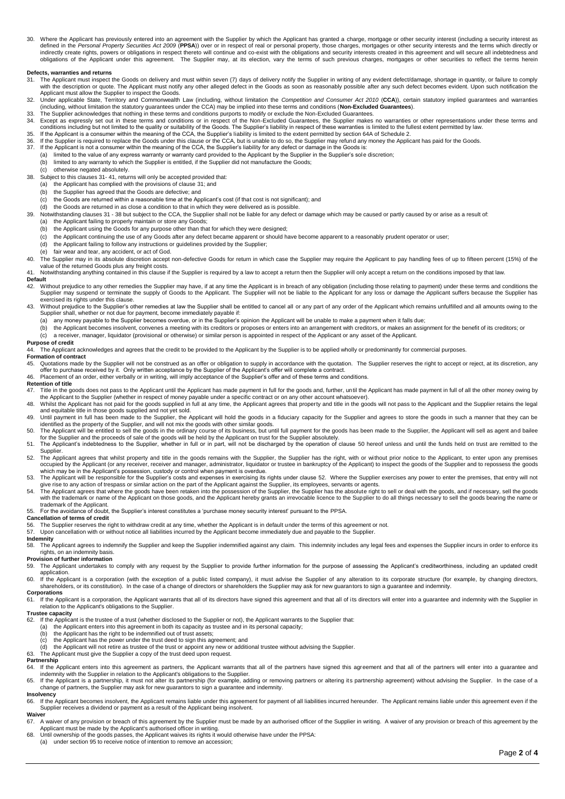30. Where the Applicant has previously entered into an agreement with the Supplier by which the Applicant has granted a charge, mortgage or other security interest (including a security interest as<br>defined in the Personal indirectly create rights, powers or obligations in respect thereto will continue and co-exist with the obligations and security interests created in this agreement and will secure all indebtedness and<br>obligations of the Ap

### **Defects, warranties and returns**

- <span id="page-1-0"></span>The Applicant must inspect the Goods on delivery and must within seven (7) days of delivery notify the Supplier in writing of any evident defect/damage, shortage in quantity, or failure to comply with the description or quote. The Applicant must notify any other alleged defect in the Goods as soon as reasonably possible after any such defect becomes evident. Upon such notification the<br>Applicant must allow the Suppl
- 32. Under applicable State, Territory and Commonwealth Law (including, without limitation the Competition and Consumer Act 2010 (CCA)), certain statutory implied guarantees and warranties<br>(including, without limitation the
- 
- 33. The Supplier acknowledges that nothing in these terms and conditions purports to modify or exclude the Non-Excluded Guarantees.<br>34. Except as expressly set out in these terms and conditions or in respect of the Non-Exc conditions including but not limited to the quality or suitability of the Goods. The Supplier's liability in respect of these warranties is limited to the fullest extent permitted by law.<br>35. If the Applicant is a consumer
- 
- 36. If the Supplier is required to replace the Goods under this clause or the CCA, but is unable to do so, the Supplier may refund any money the Applicant has paid for the Goods.<br>37. If the Applicant is not a consumer with
- (a) limited to the value of any express warranty or warranty card provided to the Applicant by the Supplier in the Supplier's sole discretion;
- (b) limited to any warranty to which the Supplier is entitled, if the Supplier did not manufacture the Goods;<br>(c) otherwise negated absolutely.
- otherwise negated absolutely.
- <span id="page-1-2"></span>38. Subject to this clause[s 31-](#page-1-0) [41,](#page-1-1) returns will only be accepted provided that:
	- (a) the Applicant has complied with the provisions of clause [31;](#page-1-0) and (b) the Supplier has agreed that the Goods are defective; and
	- (b) the Supplier has agreed that the Goods are defective; and (c) the Goods are returned within a reasonable time at the Ap the Goods are returned within a reasonable time at the Applicant's cost (if that cost is not significant); and
	- (d) the Goods are returned in as close a condition to that in which they were delivered as is possible.
- 39. Notwithstanding clause[s 31](#page-1-0) [38](#page-1-2) but subject to the CCA, the Supplier shall not be liable for any defect or damage which may be caused or partly caused by or arise as a result of:
- (a) the Applicant failing to properly maintain or store any Goods;
	- (b) the Applicant using the Goods for any purpose other than that for which they were designed;
	- (c) the Applicant continuing the use of any Goods after any defect became apparent or should have become apparent to a reasonably prudent operator or user;<br>(d) the Applicant failing to follow any instructions or quidelines
	- the Applicant failing to follow any instructions or guidelines provided by the Supplier;
- (e) fair wear and tear, any accident, or act of God.
- 40. The Supplier may in its absolute discretion accept non-defective Goods for return in which case the Supplier may require the Applicant to pay handling fees of up to fifteen percent (15%) of the value of the returned Goods plus any freight costs.
- <span id="page-1-1"></span>41. Notwithstanding anything contained in this clause if the Supplier is required by a law to accept a return then the Supplier will only accept a return on the conditions imposed by that law.

# Default<br>42. W

- Without prejudice to any other remedies the Supplier may have, if at any time the Applicant is in breach of any obligation (including those relating to payment) under these terms and conditions the Supplier may suspend or terminate the supply of Goods to the Applicant. The Supplier will not be liable to the Applicant for any loss or damage the Applicant suffers because the Supplier has exercised its rights under this clause.
- Without prejudice to the Supplier's other remedies at law the Supplier shall be entitled to cancel all or any part of any order of the Applicant which remains unfulfilled and all amounts owing to the Applicant which remain
	- Supplier shall, whether or not due for payment, become immediately payable if:<br>(a) any money payable to the Supplier becomes overdue, or in the Supplier's opinion the Applicant will be unable to make a payment when it fall
	- (b) the Applicant becomes insolvent, convenes a meeting with its creditors or proposes or enters into an arrangement with creditors, or makes an assignment for the benefit of its creditors; or
- (c) a receiver, manager, liquidator (provisional or otherwise) or similar person is appointed in respect of the Applicant or any asset of the Applicant.

**Purpose of credit**<br>44. The Applicant acknowledges and agrees that the credit to be provided to the Applicant by the Supplier is to be applied wholly or predominantly for commercial purposes.

### **Formation of contract**

- 45. Quotations made by the Supplier will not be construed as an offer or obligation to supply in accordance with the quotation. The Supplier reserves the right to accept or reject, at its discretion, any<br>offer to purchase
- 46. Placement of an order, either verbally or in writing, will imply acceptance of the Supplier's offer and of these terms and conditions.

- **Retention of title**<br>47. Title in the g 47. Title in the goods does not pass to the Applicant until the Applicant has made payment in full for the goods and, further, until the Applicant has made payment in full of all the other money owing by<br>the Applicant to t
- 48. Whilst the Applicant has not paid for the goods supplied in full at any time, the Applicant agrees that property and title in the goods will not pass to the Applicant and the Supplier retains the legal and equitable title in those goods supplied and not yet sold.
- 49. Until payment in full has been made to the Supplier, the Applicant will hold the goods in a fiduciary capacity for the Supplier and agrees to store the goods in such a manner that they can be<br>identified as the property
- <span id="page-1-3"></span>50. The Applicant will be entitled to sell the goods in the ordinary course of its business, but until full payment for the goods has been made to the Supplier, the Applicant will sell as agent and bailee for the Supplier and the proceeds of sale of the goods will be held by the Applicant on trust for the Supplier absolutely.<br>51. The Applicant's indebtedness to the Supplier, whether in full or in part, will not be discharge
- Supplier.
- <span id="page-1-4"></span>52. The Applicant agrees that whilst property and title in the goods remains with the Supplier, the Supplier has the right, with or without prior notice to the Applicant, to enter upon any premises occupied by the Applicant (or any receiver, receiver and manager, administrator, liquidator or trustee in bankruptcy of the Applicant) to inspect the goods of the Supplier and to repossess the goods<br>which may be in the App
- 
- 53. The Applicant will be responsible for the Supplier's costs and expenses in exercising its rights under claus[e 52.](#page-1-4) Where the Supplier exercises any power to enter the premises, that entry will not give rise to any actio trademark of the Applicant.
- 55. For the avoidance of doubt, the Supplier's interest constitutes a 'purchase money security interest' pursuant to the PPSA.

# **Cancellation of terms of credit**<br>56. The Supplier reserves the r

Fig. The Supplier reserves the right to withdraw credit at any time, whether the Applicant is in default under the terms of this agreement or not.<br>57. Upon cancellation with or without notice all liabilities incurred by th

### Upon cancellation with or without notice all liabilities incurred by the Applicant become immediately due and payable to the Supplier

# **Indemnity**<br>58. The *I*

The Applicant agrees to indemnify the Supplier and keep the Supplier indemnified against any claim. This indemnity includes any legal fees and expenses the Supplier incurs in order to enforce its rights, on an indemnity basis.

### **Provision of further information**

- 59. The Applicant undertakes to comply with any request by the Supplier to provide further information for the purpose of assessing the Applicant's creditworthiness, including an updated credit
- application.<br>60. If the Applicant is a corporation (with the exception of a public listed company), it must advise the Supplier of any alteration to its corporate structure (for example, by changing directors, shareholders, or its constitution). In the case of a change of directors or shareholders the Supplier may ask for new guarantors to sign a guarantee and indemnity.

**Corporations**<br>61. If the App If the Applicant is a corporation, the Applicant warrants that all of its directors have signed this agreement and that all of its directors will enter into a guarantee and indemnity with the Supplier in relation to the Applicant's obligations to the Supplier.

### **Trustee capacity**<br>62. If the Applica

- 62. If the Applicant is the trustee of a trust (whether disclosed to the Supplier or not), the Applicant warrants to the Supplier that:
- (a) the Applicant enters into this agreement in both its capacity as trustee and in its personal capacity;<br>(b) the Applicant has the right to be indemnified out of trust assets;
- (b) the Applicant has the right to be indemnified out of trust assets;<br>(c) the Applicant has the power under the trust deed to sign this age.
- 
- (c) the Applicant has the power under the trust deed to sign this agreement; and (d) the Applicant will not retire as trustee of the trust or appoint any new or additional trustee without advising the Supplier.
- 63. The Applicant must give the Supplier a copy of the trust deed upon request.

### **Partnership**

- 64. If the Applicant enters into this agreement as partners, the Applicant warrants that all of the partners have signed this agreement and that all of the partners will enter into a guarantee and<br>indemnity with the Suppli
- 65. If the Applicant is a partnership, it must not alter its partnership (for example, adding or removing partners or altering its partnership agreement) without advising the Supplier. In the case of a<br>change of partners,
- **Insolvency**<br>66. If the Applicant becomes insolvent, the Applicant remains liable under this agreement for payment of all liabilities incurred hereunder. The Applicant remains liable under this agreement even if the Supplier receives a dividend or payment as a result of the Applicant being insolvent.

# **Waiver**<br>67. A

- A waiver of any provision or breach of this agreement by the Supplier must be made by an authorised officer of the Supplier in writing. A waiver of any provision or breach of this agreement by the Applicant must be made by the Applicant's authorised officer in writing.
- 68. Until ownership of the goods passes, the Applicant waives its rights it would otherwise have under the PPSA: (a) under section 95 to receive notice of intention to remove an accession;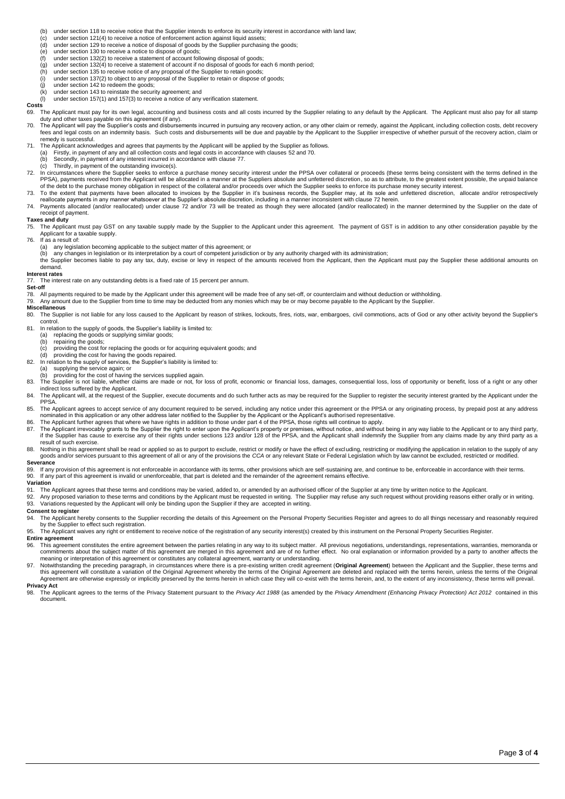(b) under section 118 to receive notice that the Supplier intends to enforce its security interest in accordance with land law;<br>(c) under section 121(4) to receive a notice of enforcement action against liguid assets:

- (c) under section 121(4) to receive a notice of enforcement action against liquid assets;
- (d) under section 129 to receive a notice of disposal of goods by the Supplier purchasing the goods;<br>(e) under section 130 to receive a notice to dispose of goods;
- (e) under section 130 to receive a notice to dispose of goods;
- under section  $132(4)$  to receive a statement of account if no disposal of goods for each 6 month period;
- (f) under section 132(2) to receive a statement of account following disposal of goods;<br>(g) under section 132(4) to receive a statement of account if no disposal of goods for e<br>(h) under section 135 to receive notice of an (h) under section 135 to receive notice of any proposal of the Supplier to retain goods;<br>(i) under section 137(2) to object to any proposal of the Supplier to retain goods;
- under section 137(2) to object to any proposal of the Supplier to retain or dispose of goods;
- $(i)$  under section 142 to redeem the goods;<br>(k) under section 143 to reinstate the securi
- $(k)$  under section 143 to reinstate the security agreement; and  $(l)$  under section 157(1) and 157(3) to receive a notice of any
- under section 157(1) and 157(3) to receive a notice of any verification statement.

### **Costs**

69. The Applicant must pay for its own legal, accounting and business costs and all costs incurred by the Supplier relating to any default by the Applicant. The Applicant must also pay for all stamp duty and other taxes payable on this agreement (if any).

<span id="page-2-0"></span>70. The Applicant will pay the Supplier's costs and disbursements incurred in pursuing any recovery action, or any other claim or remedy, against the Applicant, including collection costs, debt recovery fees and legal costs on an indemnity basis. Such costs and disbursements will be due and payable by the Applicant to the Supplier irrespective of whether pursuit of the recovery action, claim or remedy is successful.

.71. The Applicant acknowledges and agrees that payments by the Applicant will be applied by the Supplier as follows<br>(a) Firstly, in payment of any and all collection costs and legal costs in accordance with clause[s 52](#page-1-4) and

- (b) Secondly, in payment of any interest incurred in accordance with claus[e 77.](#page-2-1)
- (c) Thirdly, in payment of the outstanding invoice(s).
- <span id="page-2-2"></span>72. In circumstances where the Supplier seeks to enforce a purchase money security interest under the PPSA over collateral or proceeds (these terms being consistent with the terms defined in the terms defined in the Suppli of the debt to the purchase money obligation in respect of the collateral and/or proceeds over which the Supplier seeks to enforce its purchase money security interest.
- <span id="page-2-3"></span>73. To the extent that payments have been allocated to invoices by the Supplier in it's business records, the Supplier may, at its sole and unfettered discretion, allocate and/or retrospectively<br>reallocate payments in any
- 74. Payments allocated (and/or reallocated) under claus[e 72](#page-2-2) and/o[r 73](#page-2-3) will be treated as though they were allocated (and/or reallocated) in the manner determined by the Supplier on the date of receipt of payment.

### **Taxes and duty**

75. The Applicant must pay GST on any taxable supply made by the Supplier to the Applicant under this agreement. The payment of GST is in addition to any other consideration payable by the Applicant for a taxable supply.

- If as a result of:
	-
	- (a) any legislation becoming applicable to the subject matter of this agreement; or<br>(b) any changes in legislation or its interpretation by a court of competent jurisdiction or by any authority charged with its administrat
- the Supplier becomes liable to pay any tax, duty, excise or levy in respect of the amounts received from the Applicant, then the Applicant must pay the Supplier these additional amounts on demand.

## **Interest rates**<br>77 The inte

<span id="page-2-1"></span>The interest rate on any outstanding debts is a fixed rate of 15 percent per annum.

**Set-off**<br>78. Al

78. All payments required to be made by the Applicant under this agreement will be made free of any set-off, or counterclaim and without deduction or withholding.<br>79. Any amount due to the Supplier from time to time may be

# **Miscellaneous**<br>80. The Suppl

The Supplier is not liable for any loss caused to the Applicant by reason of strikes, lockouts, fires, riots, war, embargoes, civil commotions, acts of God or any other activity beyond the Supplier's control.

- 81. In relation to the supply of goods, the Supplier's liability is limited to:<br>(a) replacing the goods or supplying similar goods;
	- (a) replacing the goods or supplying similar goods;<br>(b) repairing the goods;
	- (b) repairing the goods;<br>(c) providing the cost fo
	- providing the cost for replacing the goods or for acquiring equivalent goods; and

(d) providing the cost for having the goods repaired. 82. In relation to the supply of services, the Supplier's liability is limited to:

(a) supplying the service again; or

- providing for the cost of having the services supplied again.
- 83. The Supplier is not liable, whether claims are made or not, for loss of profit, economic or financial loss, damages, consequential loss, loss of opportunity or benefit, loss of a right or any other indirect loss suffered by the Applicant.
- 84. The Applicant will, at the request of the Supplier, execute documents and do such further acts as may be required for the Supplier to register the security interest granted by the Applicant under the
- PPSA.<br>85. The Applicant agrees to accept service of any document required to be served, including any notice under this agreement or the PPSA or any originating process, by prepaid post at any address nominated in this application or any other address later notified to the Supplier by the Applicant or the Applicant's authorised representative.
- 
- 86. The Applicant further agrees that where we have rights in addition to those under part 4 of the PPSA, those rights will continue to apply.<br>87. The Applicant irrevocably grants to the Supplier the right to enter upo result of such exercise.
- 88. Nothing in this agreement shall be read or applied so as to purport to exclude, restrict or modify or have the effect of excluding, restricting or modifying the application in relation to the supply of any goods and/or services pursuant to this agreement of all or any of the provisions the *CCA* or any relevant State or Federal Legislation which by law cannot be excluded, restricted or modified.

## **Severance**<br>89 If any

89. If any provision of this agreement is not enforceable in accordance with its terms, other provisions which are self-sustaining are, and continue to be, enforceable in accordance with their terms.<br>90. If any part of thi

- **Variation** 91. The Applicant agrees that these terms and conditions may be varied, added to, or amended by an authorised officer of the Supplier at any time by written notice to the Applicant.<br>92 Any proposed variation to these terms
- 92. Any proposed variation to these terms and conditions by the Applicant must be requested in writing. The Supplier may refuse any such request without providing reasons either orally or in writing.<br>93. Variations request

### **Consent to register**

94. The Applicant hereby consents to the Supplier recording the details of this Agreement on the Personal Property Securities Register and agrees to do all things necessary and reasonably required<br>by the Supplier to effect

### 95. The Applicant waives any right or entitlement to receive notice of the registration of any security interest(s) created by this instrument on the Personal Property Securities Register.

- **Entire agreement**<br>96. This agreement 96. This agreement constitutes the entire agreement between the parties relating in any way to its subject matter. All previous negotiations, understandings, representations, warranties, memoranda or<br>commitments about the meaning or interpretation of this agreement or constitutes any collateral agreement, warranty or understanding.<br>97. Notwithstanding the preceding paragraph, in circumstances where there is a pre-existing written credit agr
- this agreement will constitute a variation of the Original Agreement whereby the terms of the Original Agreement are deleted and replaced with the terms herein, unless the terms of the Original<br>Agreement are otherwise expr **Privacy Act**

98. The Applicant agrees to the terms of the Privacy Statement pursuant to the *Privacy Act 1988* (as amended by the *Privacy Amendment (Enhancing Privacy Protection) Act 2012* contained in this document.